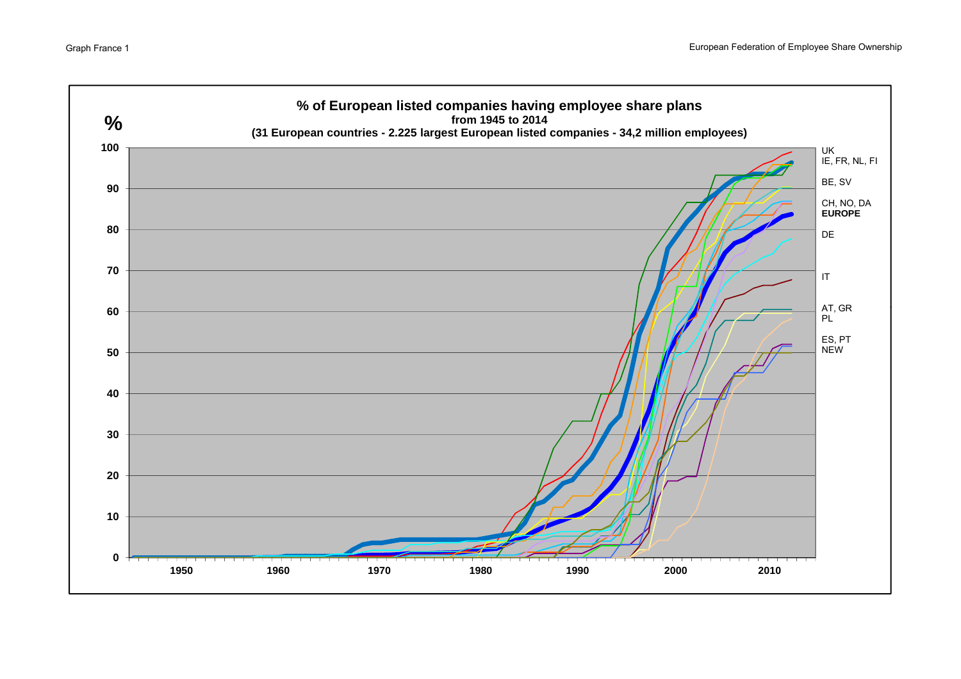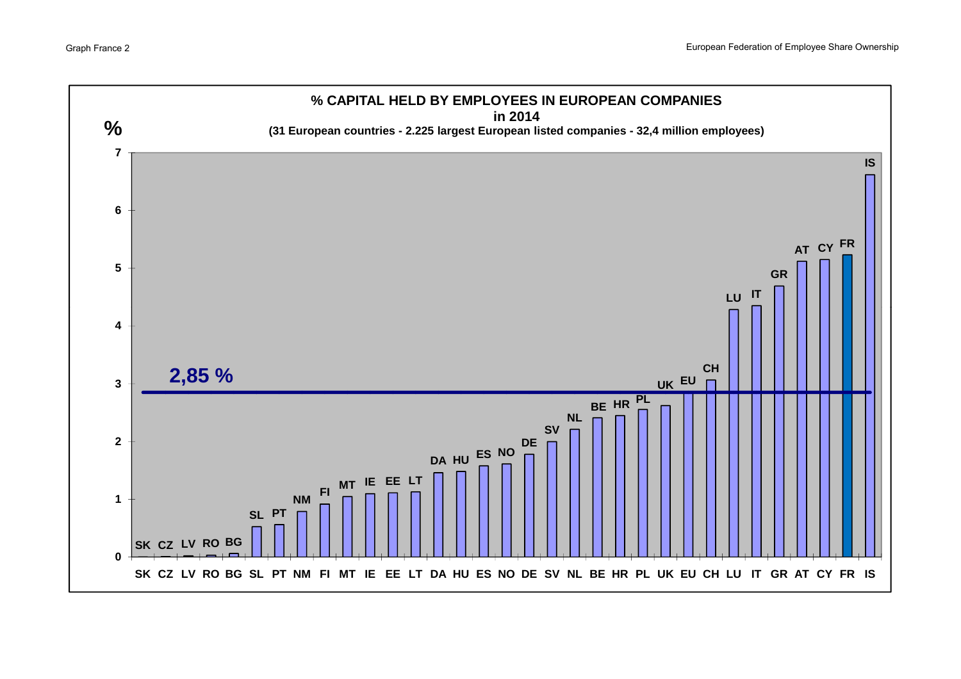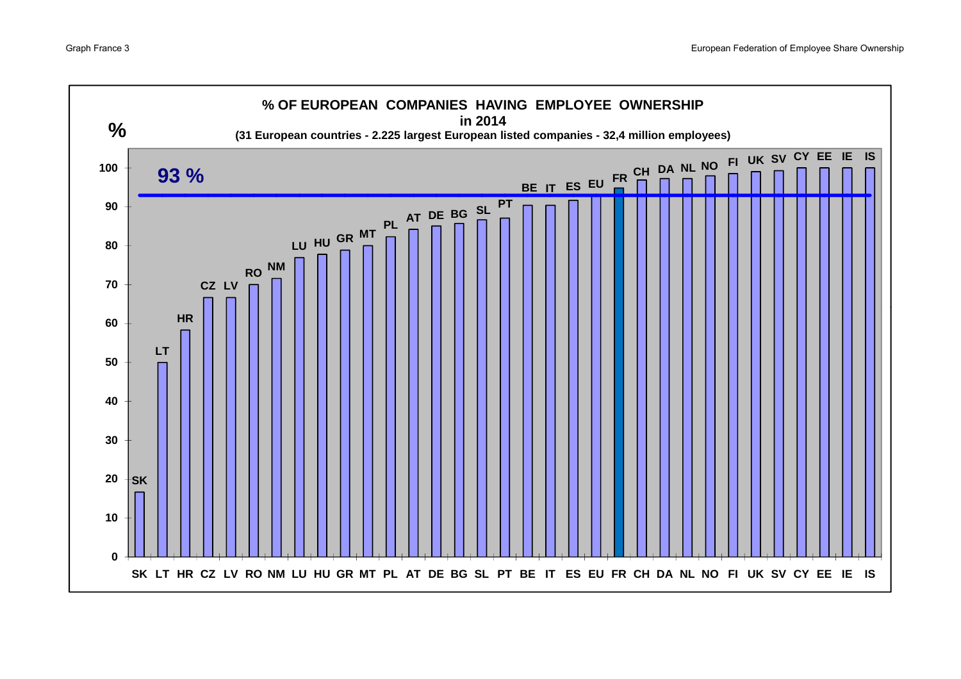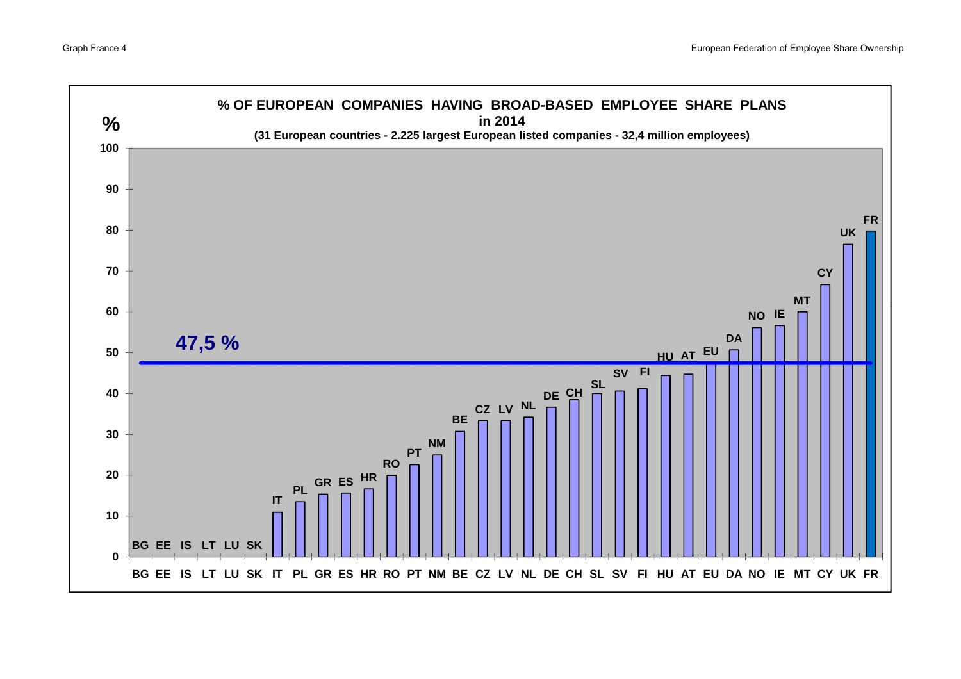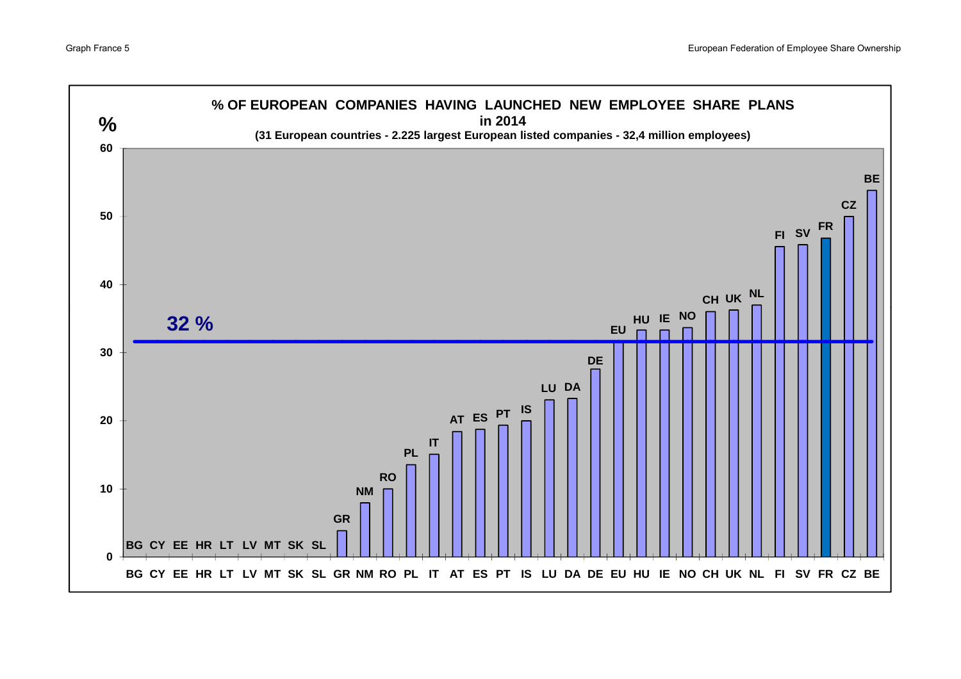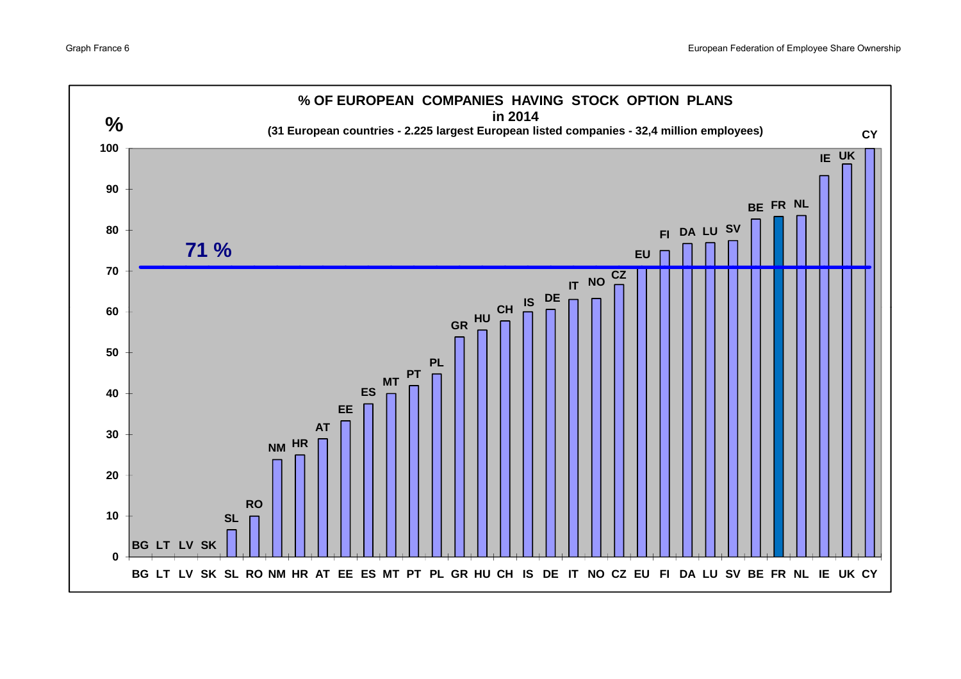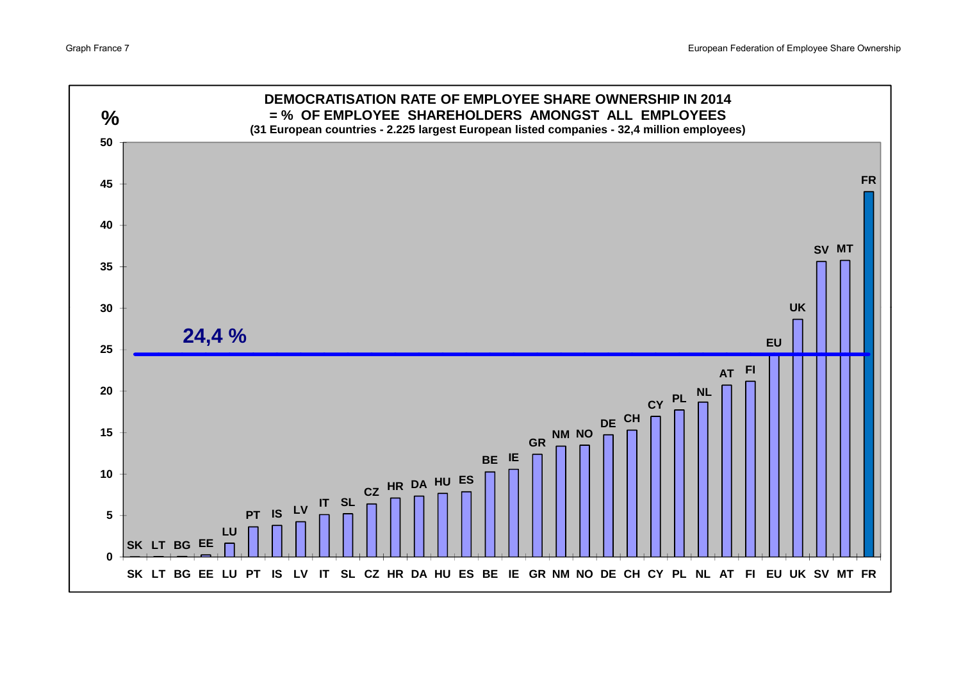